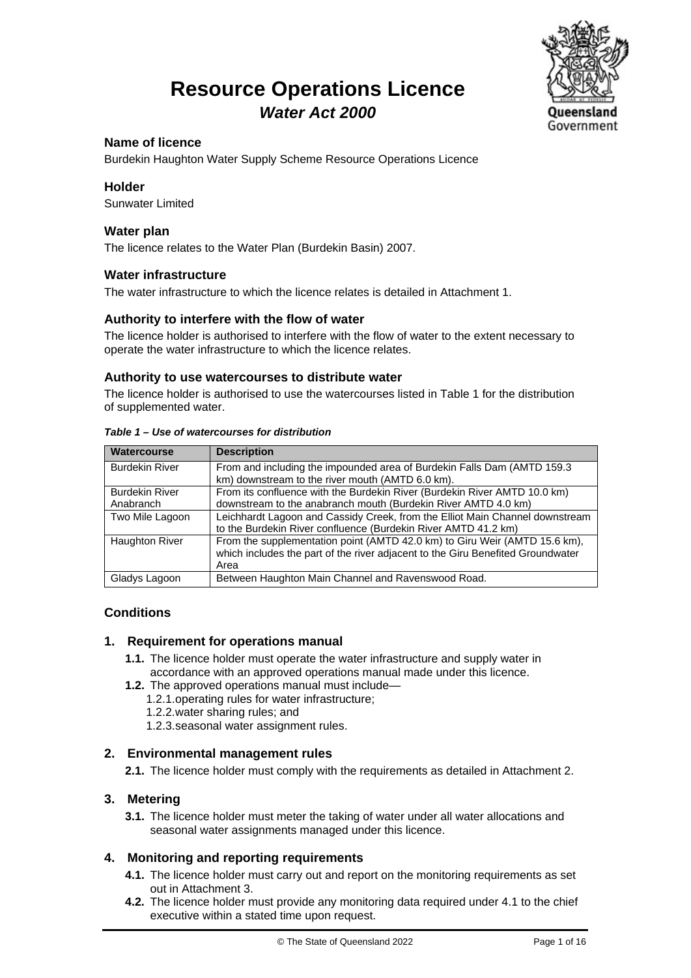### **Resource Operations Licence** *Water Act 2000*



#### **Name of licence**

Burdekin Haughton Water Supply Scheme Resource Operations Licence

#### **Holder**

Sunwater Limited

#### **Water plan**

The licence relates to the Water Plan (Burdekin Basin) 2007.

#### **Water infrastructure**

The water infrastructure to which the licence relates is detailed in Attachment 1.

#### **Authority to interfere with the flow of water**

The licence holder is authorised to interfere with the flow of water to the extent necessary to operate the water infrastructure to which the licence relates.

#### **Authority to use watercourses to distribute water**

The licence holder is authorised to use the watercourses listed in Table 1 for the distribution of supplemented water.

| <b>Watercourse</b>                 | <b>Description</b>                                                                                                                                                    |
|------------------------------------|-----------------------------------------------------------------------------------------------------------------------------------------------------------------------|
| <b>Burdekin River</b>              | From and including the impounded area of Burdekin Falls Dam (AMTD 159.3)<br>km) downstream to the river mouth (AMTD 6.0 km).                                          |
| <b>Burdekin River</b><br>Anabranch | From its confluence with the Burdekin River (Burdekin River AMTD 10.0 km)<br>downstream to the anabranch mouth (Burdekin River AMTD 4.0 km)                           |
| Two Mile Lagoon                    | Leichhardt Lagoon and Cassidy Creek, from the Elliot Main Channel downstream<br>to the Burdekin River confluence (Burdekin River AMTD 41.2 km)                        |
| <b>Haughton River</b>              | From the supplementation point (AMTD 42.0 km) to Giru Weir (AMTD 15.6 km),<br>which includes the part of the river adjacent to the Giru Benefited Groundwater<br>Area |
| Gladys Lagoon                      | Between Haughton Main Channel and Ravenswood Road.                                                                                                                    |

#### *Table 1 – Use of watercourses for distribution*

#### **Conditions**

#### **1. Requirement for operations manual**

- **1.1.** The licence holder must operate the water infrastructure and supply water in accordance with an approved operations manual made under this licence.
- **1.2.** The approved operations manual must include—
	- 1.2.1.operating rules for water infrastructure;
	- 1.2.2.water sharing rules; and
	- 1.2.3.seasonal water assignment rules.

#### **2. Environmental management rules**

**2.1.** The licence holder must comply with the requirements as detailed in Attachment 2.

#### **3. Metering**

**3.1.** The licence holder must meter the taking of water under all water allocations and seasonal water assignments managed under this licence.

#### **4. Monitoring and reporting requirements**

- **4.1.** The licence holder must carry out and report on the monitoring requirements as set out in Attachment 3.
- **4.2.** The licence holder must provide any monitoring data required under 4.1 to the chief executive within a stated time upon request.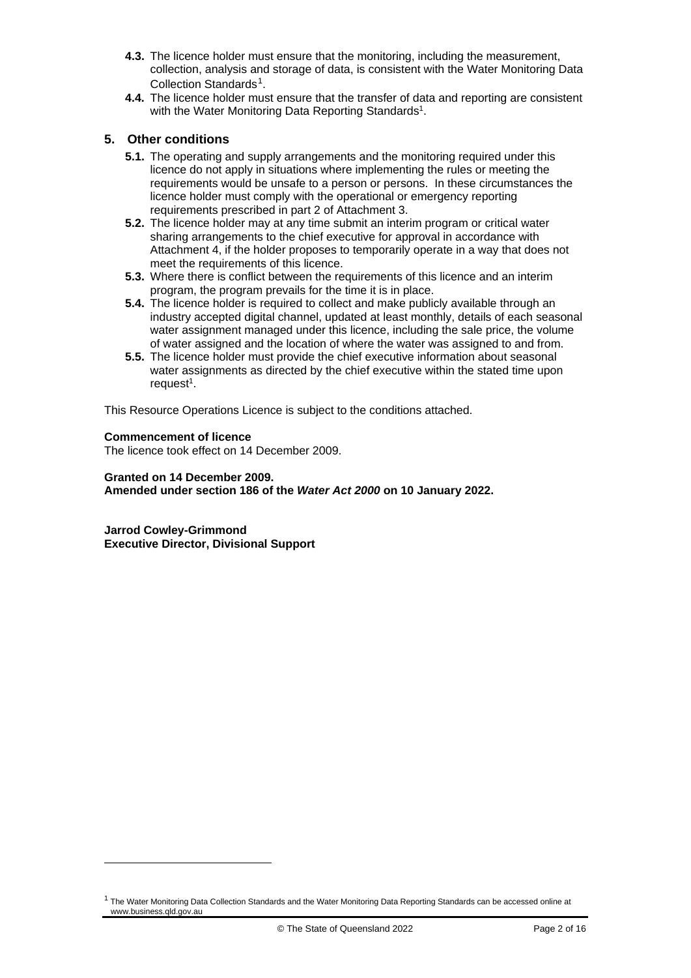- **4.3.** The licence holder must ensure that the monitoring, including the measurement, collection, analysis and storage of data, is consistent with the Water Monitoring Data Collection Standards<sup>[1](#page-1-0)</sup>.
- **4.4.** The licence holder must ensure that the transfer of data and reporting are consistent with the Water Monitoring Data Reporting Standards<sup>1</sup>.

#### **5. Other conditions**

- **5.1.** The operating and supply arrangements and the monitoring required under this licence do not apply in situations where implementing the rules or meeting the requirements would be unsafe to a person or persons. In these circumstances the licence holder must comply with the operational or emergency reporting requirements prescribed in part 2 of Attachment 3.
- **5.2.** The licence holder may at any time submit an interim program or critical water sharing arrangements to the chief executive for approval in accordance with Attachment 4, if the holder proposes to temporarily operate in a way that does not meet the requirements of this licence.
- **5.3.** Where there is conflict between the requirements of this licence and an interim program, the program prevails for the time it is in place.
- **5.4.** The licence holder is required to collect and make publicly available through an industry accepted digital channel, updated at least monthly, details of each seasonal water assignment managed under this licence, including the sale price, the volume of water assigned and the location of where the water was assigned to and from.
- **5.5.** The licence holder must provide the chief executive information about seasonal water assignments as directed by the chief executive within the stated time upon request $1$ .

This Resource Operations Licence is subject to the conditions attached.

#### **Commencement of licence**

The licence took effect on 14 December 2009.

#### **Granted on 14 December 2009. Amended under section 186 of the** *Water Act 2000* **on 10 January 2022.**

**Jarrod Cowley-Grimmond Executive Director, Divisional Support** 

<span id="page-1-0"></span> $1$  The Water Monitoring Data Collection Standards and the Water Monitoring Data Reporting Standards can be accessed online at www.business.qld.gov.au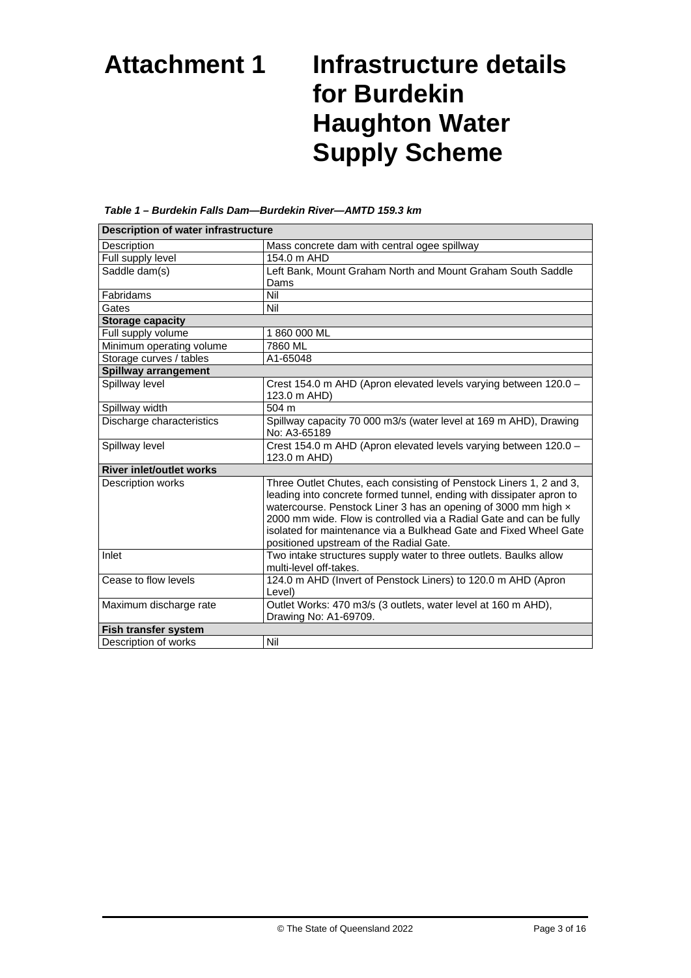# **Attachment 1 Infrastructure details for Burdekin Haughton Water Supply Scheme**

| <b>Description of water infrastructure</b> |                                                                                                                                                                                                                                                                                                                                                                                                      |  |
|--------------------------------------------|------------------------------------------------------------------------------------------------------------------------------------------------------------------------------------------------------------------------------------------------------------------------------------------------------------------------------------------------------------------------------------------------------|--|
| Description                                | Mass concrete dam with central ogee spillway                                                                                                                                                                                                                                                                                                                                                         |  |
| Full supply level                          | 154.0 m AHD                                                                                                                                                                                                                                                                                                                                                                                          |  |
| Saddle dam(s)                              | Left Bank, Mount Graham North and Mount Graham South Saddle                                                                                                                                                                                                                                                                                                                                          |  |
|                                            | Dams                                                                                                                                                                                                                                                                                                                                                                                                 |  |
| Fabridams                                  | Nil                                                                                                                                                                                                                                                                                                                                                                                                  |  |
| Gates                                      | Nil                                                                                                                                                                                                                                                                                                                                                                                                  |  |
| <b>Storage capacity</b>                    |                                                                                                                                                                                                                                                                                                                                                                                                      |  |
| Full supply volume                         | 1860000 ML                                                                                                                                                                                                                                                                                                                                                                                           |  |
| Minimum operating volume                   | 7860 ML                                                                                                                                                                                                                                                                                                                                                                                              |  |
| Storage curves / tables                    | A1-65048                                                                                                                                                                                                                                                                                                                                                                                             |  |
| Spillway arrangement                       |                                                                                                                                                                                                                                                                                                                                                                                                      |  |
| Spillway level                             | Crest 154.0 m AHD (Apron elevated levels varying between 120.0 -<br>123.0 m AHD)                                                                                                                                                                                                                                                                                                                     |  |
| Spillway width                             | 504 m                                                                                                                                                                                                                                                                                                                                                                                                |  |
| Discharge characteristics                  | Spillway capacity 70 000 m3/s (water level at 169 m AHD), Drawing<br>No: A3-65189                                                                                                                                                                                                                                                                                                                    |  |
| Spillway level                             | Crest 154.0 m AHD (Apron elevated levels varying between 120.0 -<br>123.0 m AHD)                                                                                                                                                                                                                                                                                                                     |  |
| <b>River inlet/outlet works</b>            |                                                                                                                                                                                                                                                                                                                                                                                                      |  |
| Description works                          | Three Outlet Chutes, each consisting of Penstock Liners 1, 2 and 3,<br>leading into concrete formed tunnel, ending with dissipater apron to<br>watercourse. Penstock Liner 3 has an opening of 3000 mm high x<br>2000 mm wide. Flow is controlled via a Radial Gate and can be fully<br>isolated for maintenance via a Bulkhead Gate and Fixed Wheel Gate<br>positioned upstream of the Radial Gate. |  |
| Inlet                                      | Two intake structures supply water to three outlets. Baulks allow<br>multi-level off-takes.                                                                                                                                                                                                                                                                                                          |  |
| Cease to flow levels                       | 124.0 m AHD (Invert of Penstock Liners) to 120.0 m AHD (Apron<br>Level)                                                                                                                                                                                                                                                                                                                              |  |
| Maximum discharge rate                     | Outlet Works: 470 m3/s (3 outlets, water level at 160 m AHD),<br>Drawing No: A1-69709.                                                                                                                                                                                                                                                                                                               |  |
| Fish transfer system                       |                                                                                                                                                                                                                                                                                                                                                                                                      |  |
| Description of works                       | Nil                                                                                                                                                                                                                                                                                                                                                                                                  |  |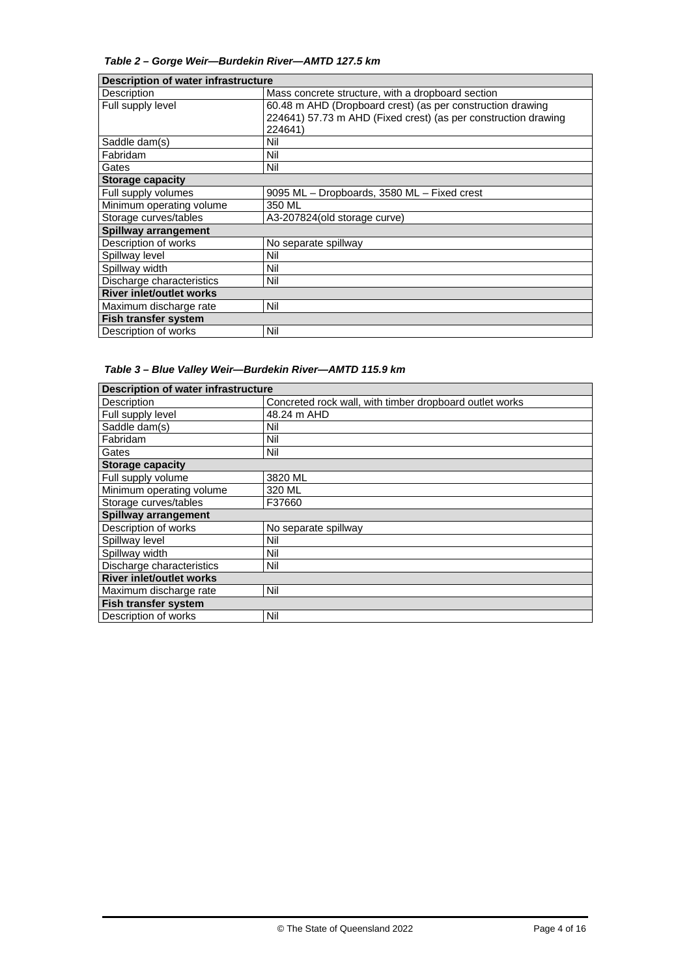#### *Table 2 – Gorge Weir—Burdekin River—AMTD 127.5 km*

| Description of water infrastructure |                                                                |  |
|-------------------------------------|----------------------------------------------------------------|--|
| Description                         | Mass concrete structure, with a dropboard section              |  |
| Full supply level                   | 60.48 m AHD (Dropboard crest) (as per construction drawing     |  |
|                                     | 224641) 57.73 m AHD (Fixed crest) (as per construction drawing |  |
|                                     | 224641)                                                        |  |
| Saddle dam(s)                       | Nil                                                            |  |
| Fabridam                            | Nil                                                            |  |
| Gates                               | Nil                                                            |  |
| <b>Storage capacity</b>             |                                                                |  |
| Full supply volumes                 | 9095 ML - Dropboards, 3580 ML - Fixed crest                    |  |
| Minimum operating volume            | 350 ML                                                         |  |
| Storage curves/tables               | A3-207824 (old storage curve)                                  |  |
| Spillway arrangement                |                                                                |  |
| Description of works                | No separate spillway                                           |  |
| Spillway level                      | Nil                                                            |  |
| Spillway width                      | Nil                                                            |  |
| Discharge characteristics           | Nil                                                            |  |
| <b>River inlet/outlet works</b>     |                                                                |  |
| Maximum discharge rate              | Nil                                                            |  |
| <b>Fish transfer system</b>         |                                                                |  |
| Description of works                | Nil                                                            |  |

|  | Table 3 - Blue Valley Weir-Burdekin River-AMTD 115.9 km |
|--|---------------------------------------------------------|
|--|---------------------------------------------------------|

| <b>Description of water infrastructure</b> |                                                         |  |
|--------------------------------------------|---------------------------------------------------------|--|
| Description                                | Concreted rock wall, with timber dropboard outlet works |  |
| Full supply level                          | 48.24 m AHD                                             |  |
| Saddle dam(s)                              | Nil                                                     |  |
| Fabridam                                   | Nil                                                     |  |
| Gates                                      | Nil                                                     |  |
| <b>Storage capacity</b>                    |                                                         |  |
| Full supply volume                         | 3820 ML                                                 |  |
| Minimum operating volume                   | 320 ML                                                  |  |
| Storage curves/tables                      | F37660                                                  |  |
| <b>Spillway arrangement</b>                |                                                         |  |
| Description of works                       | No separate spillway                                    |  |
| Spillway level                             | Nil                                                     |  |
| Spillway width                             | Nil                                                     |  |
| Discharge characteristics                  | Nil                                                     |  |
| <b>River inlet/outlet works</b>            |                                                         |  |
| Maximum discharge rate                     | Nil                                                     |  |
| Fish transfer system                       |                                                         |  |
| Description of works                       | Nil                                                     |  |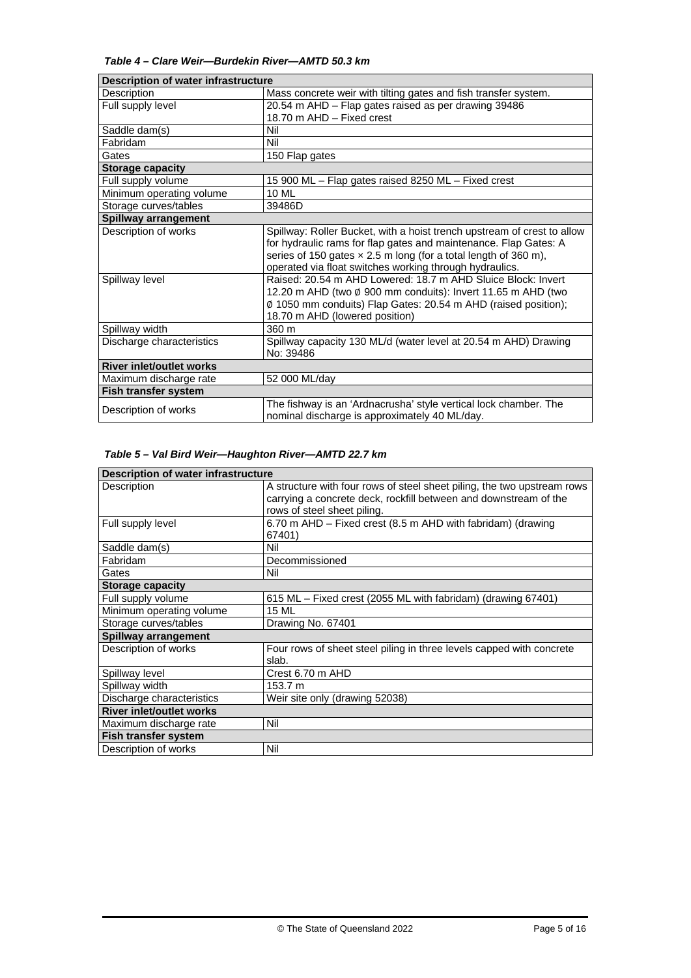#### *Table 4 – Clare Weir—Burdekin River—AMTD 50.3 km*

| Description of water infrastructure |                                                                         |  |
|-------------------------------------|-------------------------------------------------------------------------|--|
| Description                         | Mass concrete weir with tilting gates and fish transfer system.         |  |
| Full supply level                   | 20.54 m AHD - Flap gates raised as per drawing 39486                    |  |
|                                     | 18.70 m AHD - Fixed crest                                               |  |
| Saddle dam(s)                       | Nil                                                                     |  |
| Fabridam                            | Nil                                                                     |  |
| Gates                               | 150 Flap gates                                                          |  |
| <b>Storage capacity</b>             |                                                                         |  |
| Full supply volume                  | 15 900 ML - Flap gates raised 8250 ML - Fixed crest                     |  |
| Minimum operating volume            | 10 ML                                                                   |  |
| Storage curves/tables               | 39486D                                                                  |  |
| Spillway arrangement                |                                                                         |  |
| Description of works                | Spillway: Roller Bucket, with a hoist trench upstream of crest to allow |  |
|                                     | for hydraulic rams for flap gates and maintenance. Flap Gates: A        |  |
|                                     | series of 150 gates $\times$ 2.5 m long (for a total length of 360 m),  |  |
|                                     | operated via float switches working through hydraulics.                 |  |
| Spillway level                      | Raised: 20.54 m AHD Lowered: 18.7 m AHD Sluice Block: Invert            |  |
|                                     | 12.20 m AHD (two Ø 900 mm conduits): Invert 11.65 m AHD (two            |  |
|                                     | Ø 1050 mm conduits) Flap Gates: 20.54 m AHD (raised position);          |  |
|                                     | 18.70 m AHD (lowered position)                                          |  |
| Spillway width                      | 360 m                                                                   |  |
| Discharge characteristics           | Spillway capacity 130 ML/d (water level at 20.54 m AHD) Drawing         |  |
|                                     | No: 39486                                                               |  |
| <b>River inlet/outlet works</b>     |                                                                         |  |
| Maximum discharge rate              | 52 000 ML/day                                                           |  |
| Fish transfer system                |                                                                         |  |
|                                     | The fishway is an 'Ardnacrusha' style vertical lock chamber. The        |  |
| Description of works                | nominal discharge is approximately 40 ML/day.                           |  |

#### *Table 5 – Val Bird Weir—Haughton River—AMTD 22.7 km*

| Description of water infrastructure |                                                                                                                                                                            |  |
|-------------------------------------|----------------------------------------------------------------------------------------------------------------------------------------------------------------------------|--|
| Description                         | A structure with four rows of steel sheet piling, the two upstream rows<br>carrying a concrete deck, rockfill between and downstream of the<br>rows of steel sheet piling. |  |
| Full supply level                   | 6.70 m AHD - Fixed crest (8.5 m AHD with fabridam) (drawing<br>67401)                                                                                                      |  |
| Saddle dam(s)                       | Nil                                                                                                                                                                        |  |
| Fabridam                            | Decommissioned                                                                                                                                                             |  |
| Gates                               | Nil                                                                                                                                                                        |  |
| <b>Storage capacity</b>             |                                                                                                                                                                            |  |
| Full supply volume                  | 615 ML - Fixed crest (2055 ML with fabridam) (drawing 67401)                                                                                                               |  |
| Minimum operating volume            | <b>15 ML</b>                                                                                                                                                               |  |
| Storage curves/tables               | Drawing No. 67401                                                                                                                                                          |  |
| Spillway arrangement                |                                                                                                                                                                            |  |
| Description of works                | Four rows of sheet steel piling in three levels capped with concrete<br>slab.                                                                                              |  |
| Spillway level                      | Crest 6.70 m AHD                                                                                                                                                           |  |
| Spillway width                      | 153.7 m                                                                                                                                                                    |  |
| Discharge characteristics           | Weir site only (drawing 52038)                                                                                                                                             |  |
| <b>River inlet/outlet works</b>     |                                                                                                                                                                            |  |
| Maximum discharge rate              | Nil                                                                                                                                                                        |  |
| Fish transfer system                |                                                                                                                                                                            |  |
| Description of works                | Nil                                                                                                                                                                        |  |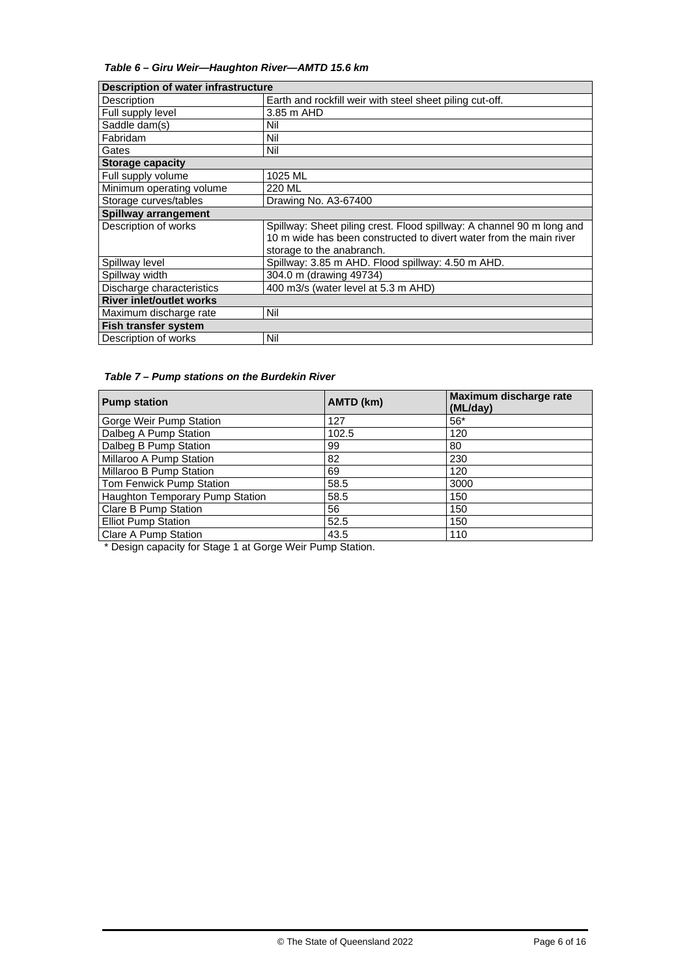*Table 6 – Giru Weir—Haughton River—AMTD 15.6 km*

| Description of water infrastructure |                                                                       |  |
|-------------------------------------|-----------------------------------------------------------------------|--|
| Description                         | Earth and rockfill weir with steel sheet piling cut-off.              |  |
| Full supply level                   | 3.85 m AHD                                                            |  |
| Saddle dam(s)                       | Nil                                                                   |  |
| Fabridam                            | Nil                                                                   |  |
| Gates                               | Nil                                                                   |  |
| <b>Storage capacity</b>             |                                                                       |  |
| Full supply volume                  | 1025 ML                                                               |  |
| Minimum operating volume            | 220 ML                                                                |  |
| Storage curves/tables               | Drawing No. A3-67400                                                  |  |
| <b>Spillway arrangement</b>         |                                                                       |  |
| Description of works                | Spillway: Sheet piling crest. Flood spillway: A channel 90 m long and |  |
|                                     | 10 m wide has been constructed to divert water from the main river    |  |
|                                     | storage to the anabranch.                                             |  |
| Spillway level                      | Spillway: 3.85 m AHD. Flood spillway: 4.50 m AHD.                     |  |
| Spillway width                      | 304.0 m (drawing 49734)                                               |  |
| Discharge characteristics           | 400 m3/s (water level at 5.3 m AHD)                                   |  |
| <b>River inlet/outlet works</b>     |                                                                       |  |
| Maximum discharge rate              | Nil                                                                   |  |
| <b>Fish transfer system</b>         |                                                                       |  |
| Description of works                | Nil                                                                   |  |

#### *Table 7 – Pump stations on the Burdekin River*

| <b>Pump station</b>             | AMTD (km) | Maximum discharge rate<br>(ML/day) |
|---------------------------------|-----------|------------------------------------|
| Gorge Weir Pump Station         | 127       | $56*$                              |
| Dalbeg A Pump Station           | 102.5     | 120                                |
| Dalbeg B Pump Station           | 99        | 80                                 |
| Millaroo A Pump Station         | 82        | 230                                |
| Millaroo B Pump Station         | 69        | 120                                |
| Tom Fenwick Pump Station        | 58.5      | 3000                               |
| Haughton Temporary Pump Station | 58.5      | 150                                |
| Clare B Pump Station            | 56        | 150                                |
| <b>Elliot Pump Station</b>      | 52.5      | 150                                |
| Clare A Pump Station            | 43.5      | 110                                |

\* Design capacity for Stage 1 at Gorge Weir Pump Station.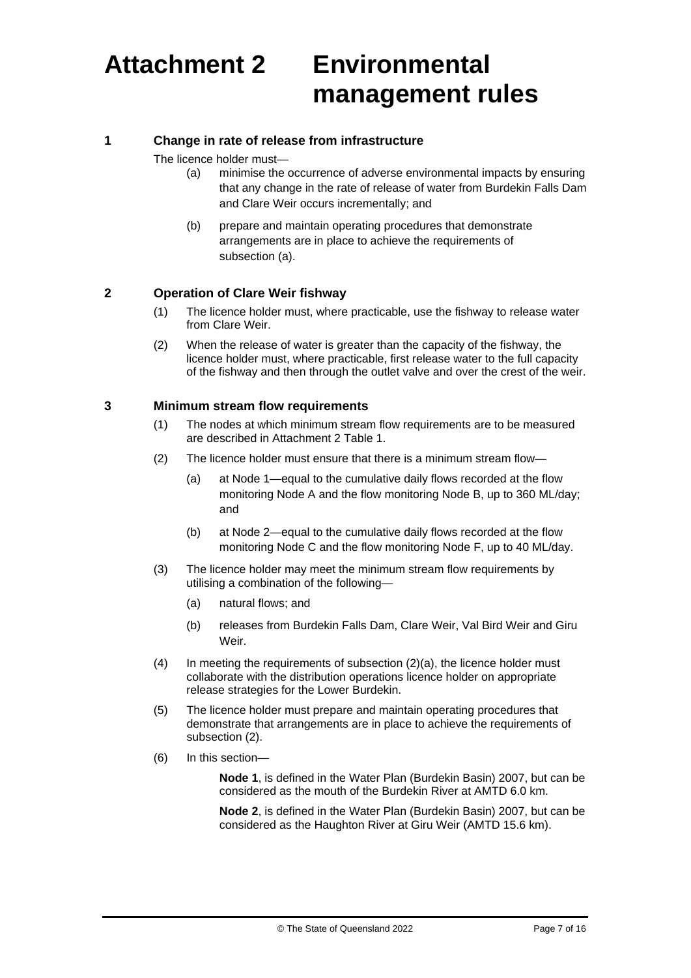# **Attachment 2 Environmental management rules**

#### **1 Change in rate of release from infrastructure**

The licence holder must—

- (a) minimise the occurrence of adverse environmental impacts by ensuring that any change in the rate of release of water from Burdekin Falls Dam and Clare Weir occurs incrementally; and
- (b) prepare and maintain operating procedures that demonstrate arrangements are in place to achieve the requirements of subsection (a).

#### **2 Operation of Clare Weir fishway**

- (1) The licence holder must, where practicable, use the fishway to release water from Clare Weir.
- (2) When the release of water is greater than the capacity of the fishway, the licence holder must, where practicable, first release water to the full capacity of the fishway and then through the outlet valve and over the crest of the weir.

#### **3 Minimum stream flow requirements**

- (1) The nodes at which minimum stream flow requirements are to be measured are described in Attachment 2 Table 1.
- (2) The licence holder must ensure that there is a minimum stream flow—
	- (a) at Node 1—equal to the cumulative daily flows recorded at the flow monitoring Node A and the flow monitoring Node B, up to 360 ML/day; and
	- (b) at Node 2—equal to the cumulative daily flows recorded at the flow monitoring Node C and the flow monitoring Node F, up to 40 ML/day.
- (3) The licence holder may meet the minimum stream flow requirements by utilising a combination of the following—
	- (a) natural flows; and
	- (b) releases from Burdekin Falls Dam, Clare Weir, Val Bird Weir and Giru Weir.
- (4) In meeting the requirements of subsection (2)(a), the licence holder must collaborate with the distribution operations licence holder on appropriate release strategies for the Lower Burdekin.
- (5) The licence holder must prepare and maintain operating procedures that demonstrate that arrangements are in place to achieve the requirements of subsection (2).
- (6) In this section—

**Node 1**, is defined in the Water Plan (Burdekin Basin) 2007, but can be considered as the mouth of the Burdekin River at AMTD 6.0 km.

**Node 2**, is defined in the Water Plan (Burdekin Basin) 2007, but can be considered as the Haughton River at Giru Weir (AMTD 15.6 km).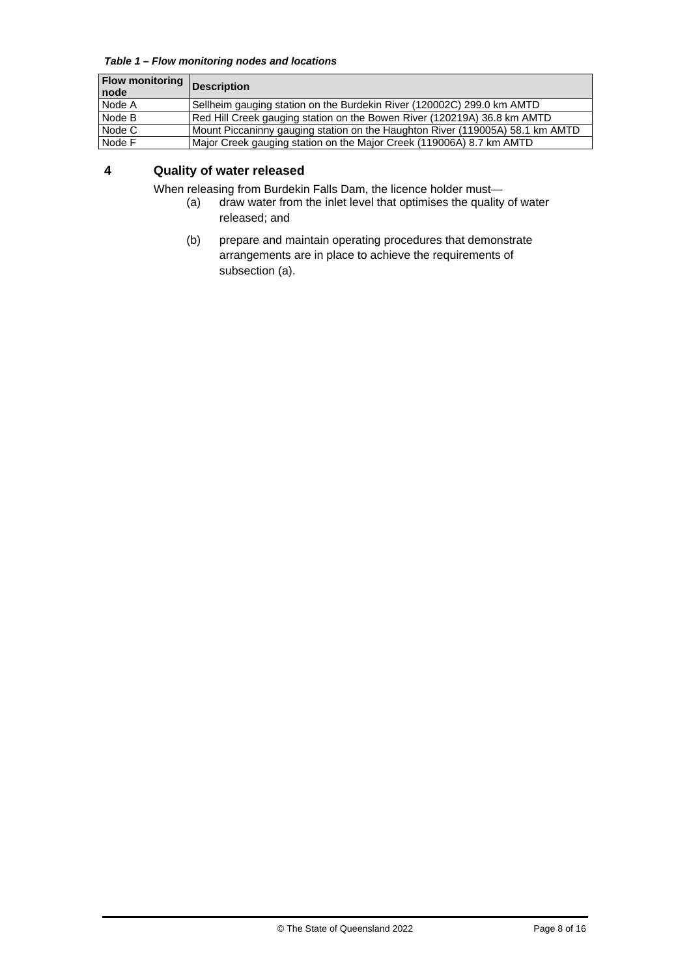*Table 1 – Flow monitoring nodes and locations*

| <b>Flow monitoring</b><br>node | <b>Description</b>                                                            |
|--------------------------------|-------------------------------------------------------------------------------|
| Node A                         | Sellheim gauging station on the Burdekin River (120002C) 299.0 km AMTD        |
| Node B                         | Red Hill Creek gauging station on the Bowen River (120219A) 36.8 km AMTD      |
| Node C                         | Mount Piccaninny gauging station on the Haughton River (119005A) 58.1 km AMTD |
| Node F                         | Major Creek gauging station on the Major Creek (119006A) 8.7 km AMTD          |

### **4 Quality of water released**

When releasing from Burdekin Falls Dam, the licence holder must—

- (a) draw water from the inlet level that optimises the quality of water released; and
- (b) prepare and maintain operating procedures that demonstrate arrangements are in place to achieve the requirements of subsection (a).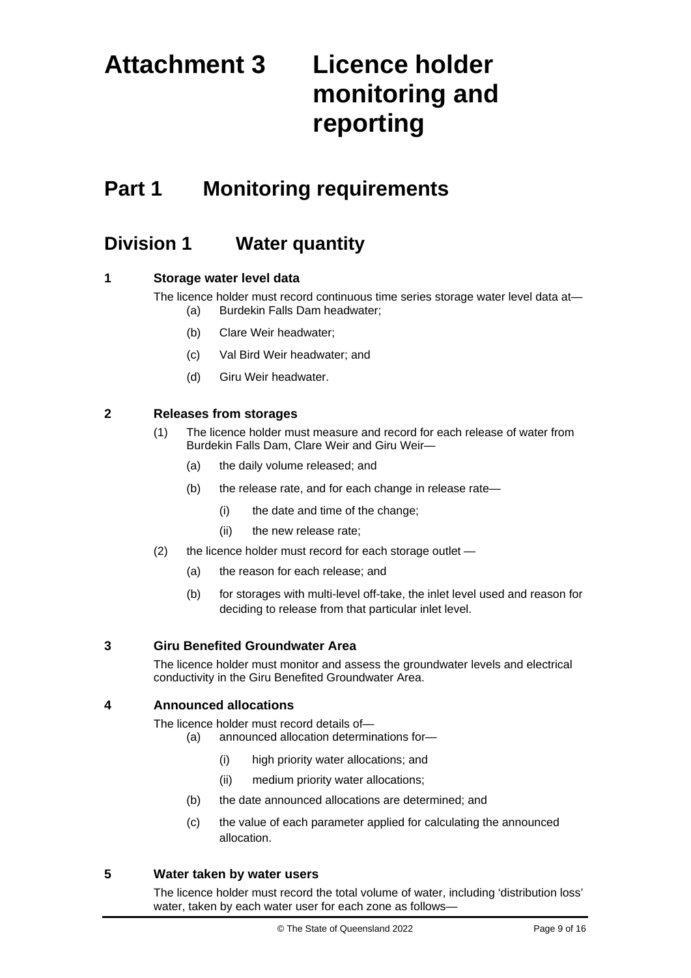# **Attachment 3 Licence holder monitoring and reporting**

### **Part 1 Monitoring requirements**

### **Division 1 Water quantity**

#### **1 Storage water level data**

The licence holder must record continuous time series storage water level data at— (a) Burdekin Falls Dam headwater;

- (b) Clare Weir headwater;
- (c) Val Bird Weir headwater; and
- (d) Giru Weir headwater.

#### **2 Releases from storages**

- (1) The licence holder must measure and record for each release of water from Burdekin Falls Dam, Clare Weir and Giru Weir—
	- (a) the daily volume released; and
	- (b) the release rate, and for each change in release rate—
		- (i) the date and time of the change;
		- (ii) the new release rate;
- (2) the licence holder must record for each storage outlet
	- (a) the reason for each release; and
	- (b) for storages with multi-level off-take, the inlet level used and reason for deciding to release from that particular inlet level.

#### **3 Giru Benefited Groundwater Area**

The licence holder must monitor and assess the groundwater levels and electrical conductivity in the Giru Benefited Groundwater Area.

#### **4 Announced allocations**

The licence holder must record details of—

- (a) announced allocation determinations for—
	- (i) high priority water allocations; and
	- (ii) medium priority water allocations;
- (b) the date announced allocations are determined; and
- (c) the value of each parameter applied for calculating the announced allocation.

#### **5 Water taken by water users**

The licence holder must record the total volume of water, including 'distribution loss' water, taken by each water user for each zone as follows—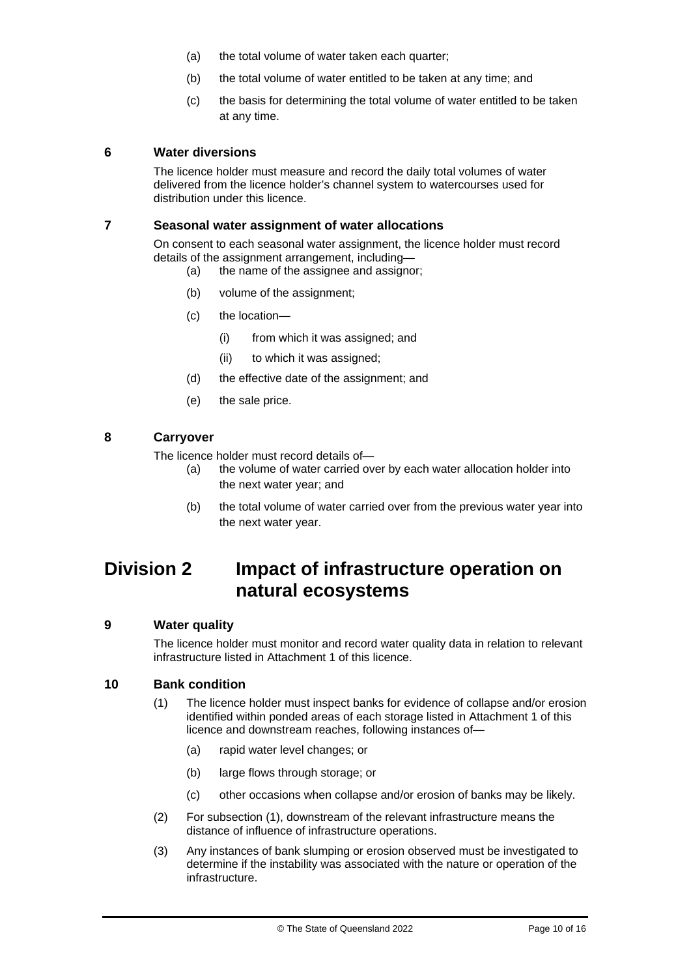- (a) the total volume of water taken each quarter;
- (b) the total volume of water entitled to be taken at any time; and
- (c) the basis for determining the total volume of water entitled to be taken at any time.

#### **6 Water diversions**

The licence holder must measure and record the daily total volumes of water delivered from the licence holder's channel system to watercourses used for distribution under this licence.

#### **7 Seasonal water assignment of water allocations**

On consent to each seasonal water assignment, the licence holder must record details of the assignment arrangement, including—

- (a) the name of the assignee and assignor;
- (b) volume of the assignment;
- (c) the location—
	- (i) from which it was assigned; and
	- (ii) to which it was assigned;
- (d) the effective date of the assignment; and
- (e) the sale price.

#### **8 Carryover**

The licence holder must record details of—

- (a) the volume of water carried over by each water allocation holder into the next water year; and
- (b) the total volume of water carried over from the previous water year into the next water year.

### **Division 2 Impact of infrastructure operation on natural ecosystems**

#### **9 Water quality**

The licence holder must monitor and record water quality data in relation to relevant infrastructure listed in Attachment 1 of this licence.

#### **10 Bank condition**

- (1) The licence holder must inspect banks for evidence of collapse and/or erosion identified within ponded areas of each storage listed in Attachment 1 of this licence and downstream reaches, following instances of—
	- (a) rapid water level changes; or
	- (b) large flows through storage; or
	- (c) other occasions when collapse and/or erosion of banks may be likely.
- (2) For subsection (1), downstream of the relevant infrastructure means the distance of influence of infrastructure operations.
- (3) Any instances of bank slumping or erosion observed must be investigated to determine if the instability was associated with the nature or operation of the infrastructure.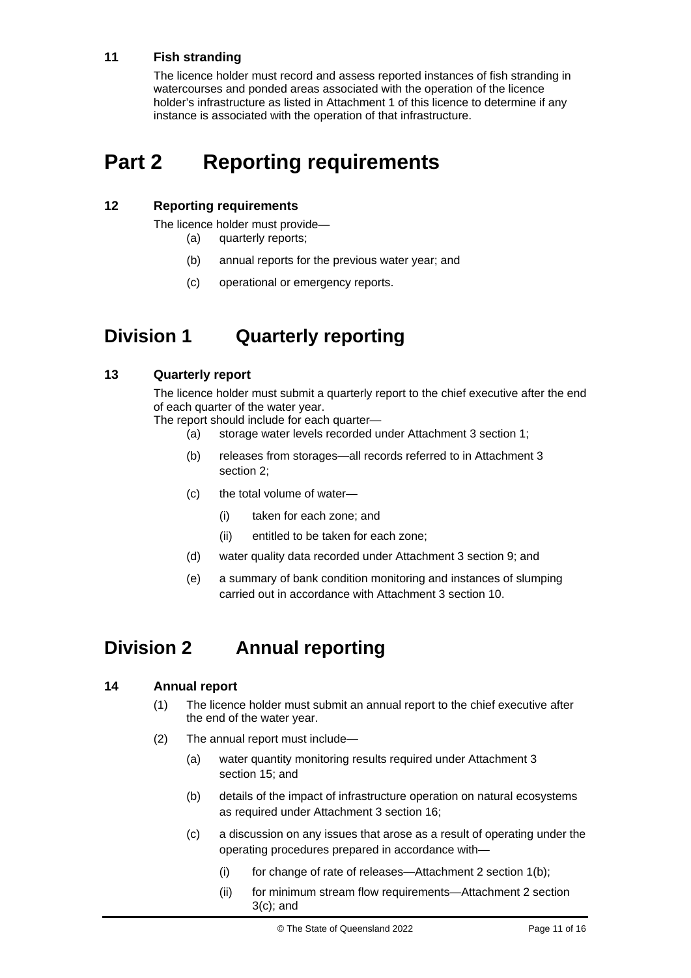### **11 Fish stranding**

The licence holder must record and assess reported instances of fish stranding in watercourses and ponded areas associated with the operation of the licence holder's infrastructure as listed in Attachment 1 of this licence to determine if any instance is associated with the operation of that infrastructure.

## **Part 2 Reporting requirements**

#### **12 Reporting requirements**

The licence holder must provide— (a) quarterly reports;

- (b) annual reports for the previous water year; and
- (c) operational or emergency reports.

### **Division 1 Quarterly reporting**

#### **13 Quarterly report**

The licence holder must submit a quarterly report to the chief executive after the end of each quarter of the water year.

The report should include for each quarter—

- (a) storage water levels recorded under Attachment 3 section 1;
- (b) releases from storages—all records referred to in Attachment 3 section 2;
- (c) the total volume of water—
	- (i) taken for each zone; and
	- (ii) entitled to be taken for each zone;
- (d) water quality data recorded under Attachment 3 section 9; and
- (e) a summary of bank condition monitoring and instances of slumping carried out in accordance with Attachment 3 section 10.

### **Division 2 Annual reporting**

#### **14 Annual report**

- (1) The licence holder must submit an annual report to the chief executive after the end of the water year.
- (2) The annual report must include—
	- (a) water quantity monitoring results required under Attachment 3 section 15; and
	- (b) details of the impact of infrastructure operation on natural ecosystems as required under Attachment 3 section 16;
	- (c) a discussion on any issues that arose as a result of operating under the operating procedures prepared in accordance with—
		- (i) for change of rate of releases—Attachment 2 section 1(b);
		- (ii) for minimum stream flow requirements—Attachment 2 section 3(c); and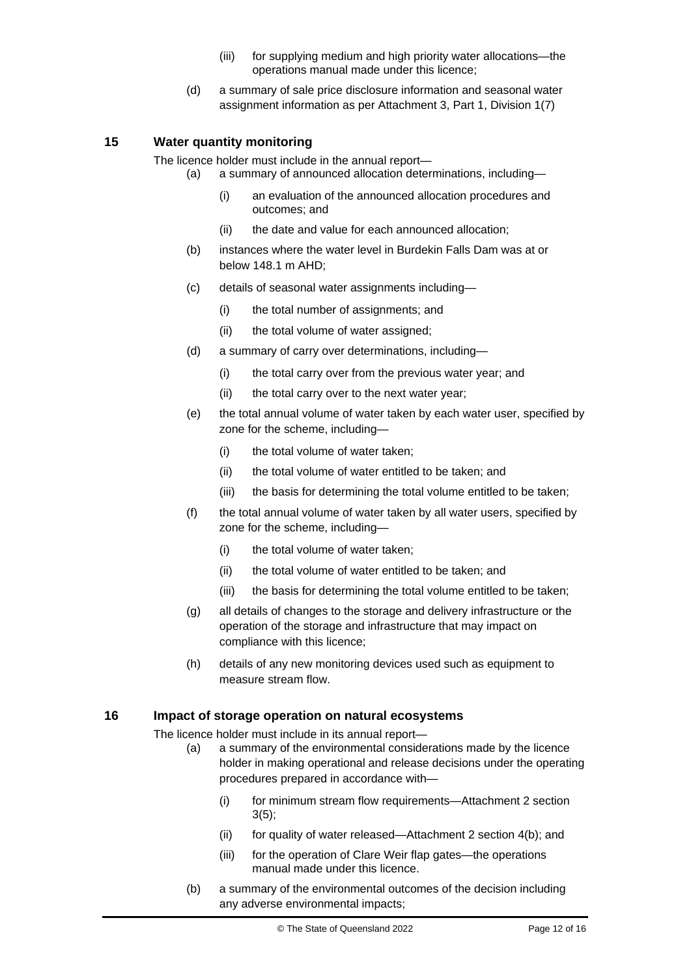- (iii) for supplying medium and high priority water allocations—the operations manual made under this licence;
- (d) a summary of sale price disclosure information and seasonal water assignment information as per Attachment 3, Part 1, Division 1(7)

#### **15 Water quantity monitoring**

The licence holder must include in the annual report—

- (a) a summary of announced allocation determinations, including—
	- (i) an evaluation of the announced allocation procedures and outcomes; and
	- (ii) the date and value for each announced allocation;
- (b) instances where the water level in Burdekin Falls Dam was at or below 148.1 m AHD;
- (c) details of seasonal water assignments including—
	- (i) the total number of assignments; and
	- (ii) the total volume of water assigned;
- (d) a summary of carry over determinations, including—
	- (i) the total carry over from the previous water year; and
	- (ii) the total carry over to the next water year:
- (e) the total annual volume of water taken by each water user, specified by zone for the scheme, including—
	- (i) the total volume of water taken;
	- (ii) the total volume of water entitled to be taken; and
	- (iii) the basis for determining the total volume entitled to be taken;
- (f) the total annual volume of water taken by all water users, specified by zone for the scheme, including—
	- (i) the total volume of water taken;
	- (ii) the total volume of water entitled to be taken; and
	- (iii) the basis for determining the total volume entitled to be taken;
- (g) all details of changes to the storage and delivery infrastructure or the operation of the storage and infrastructure that may impact on compliance with this licence;
- (h) details of any new monitoring devices used such as equipment to measure stream flow.

#### **16 Impact of storage operation on natural ecosystems**

The licence holder must include in its annual report—

- (a) a summary of the environmental considerations made by the licence holder in making operational and release decisions under the operating procedures prepared in accordance with—
	- (i) for minimum stream flow requirements—Attachment 2 section 3(5);
	- (ii) for quality of water released—Attachment 2 section 4(b); and
	- (iii) for the operation of Clare Weir flap gates—the operations manual made under this licence.
- (b) a summary of the environmental outcomes of the decision including any adverse environmental impacts;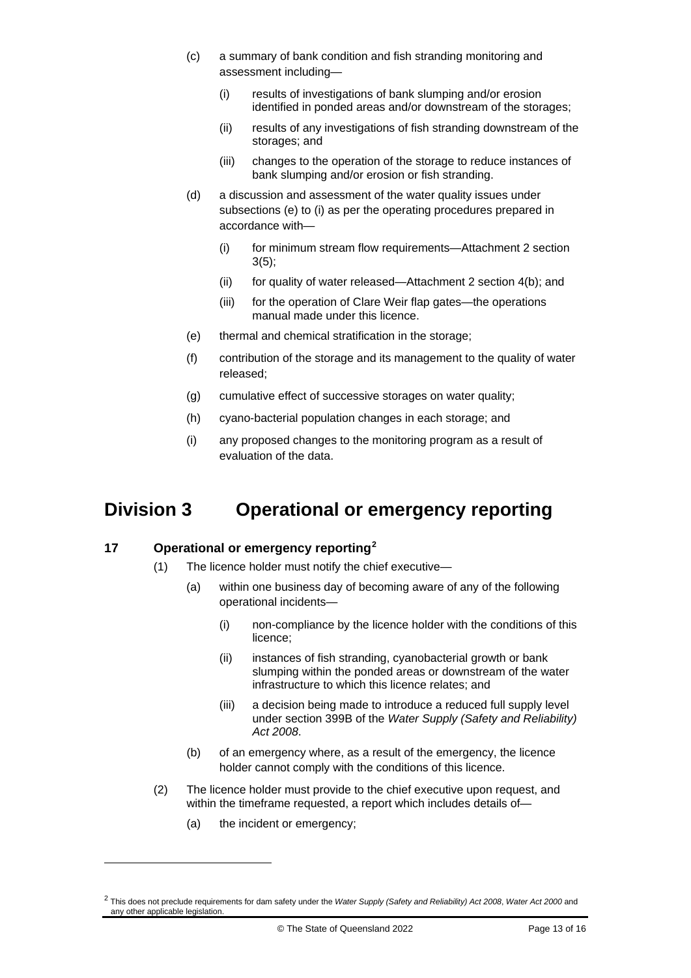- (c) a summary of bank condition and fish stranding monitoring and assessment including—
	- (i) results of investigations of bank slumping and/or erosion identified in ponded areas and/or downstream of the storages;
	- (ii) results of any investigations of fish stranding downstream of the storages; and
	- (iii) changes to the operation of the storage to reduce instances of bank slumping and/or erosion or fish stranding.
- (d) a discussion and assessment of the water quality issues under subsections (e) to (i) as per the operating procedures prepared in accordance with—
	- (i) for minimum stream flow requirements—Attachment 2 section 3(5);
	- (ii) for quality of water released—Attachment 2 section 4(b); and
	- (iii) for the operation of Clare Weir flap gates—the operations manual made under this licence.
- (e) thermal and chemical stratification in the storage;
- (f) contribution of the storage and its management to the quality of water released;
- (g) cumulative effect of successive storages on water quality;
- (h) cyano-bacterial population changes in each storage; and
- (i) any proposed changes to the monitoring program as a result of evaluation of the data.

### **Division 3 Operational or emergency reporting**

#### **17 Operational or emergency reporting[2](#page-12-0)**

- (1) The licence holder must notify the chief executive—
	- (a) within one business day of becoming aware of any of the following operational incidents—
		- (i) non-compliance by the licence holder with the conditions of this licence;
		- (ii) instances of fish stranding, cyanobacterial growth or bank slumping within the ponded areas or downstream of the water infrastructure to which this licence relates; and
		- (iii) a decision being made to introduce a reduced full supply level under section 399B of the *Water Supply (Safety and Reliability) Act 2008*.
	- (b) of an emergency where, as a result of the emergency, the licence holder cannot comply with the conditions of this licence.
- (2) The licence holder must provide to the chief executive upon request, and within the timeframe requested, a report which includes details of—
	- (a) the incident or emergency;

<span id="page-12-0"></span><sup>2</sup> This does not preclude requirements for dam safety under the *Water Supply (Safety and Reliability) Act 2008*, *Water Act 2000* and any other applicable legislation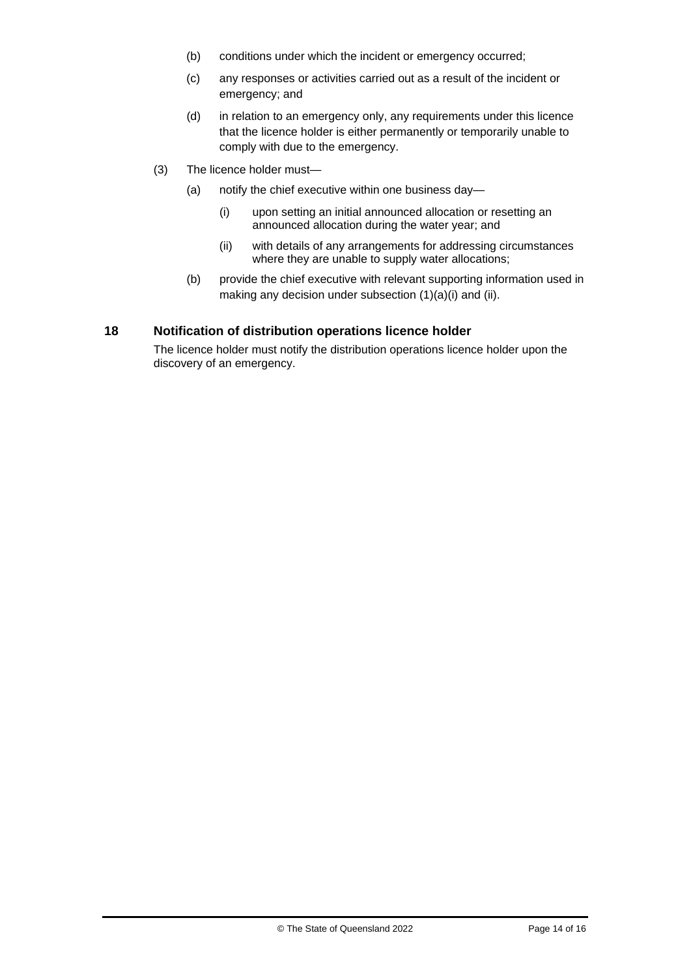- (b) conditions under which the incident or emergency occurred;
- (c) any responses or activities carried out as a result of the incident or emergency; and
- (d) in relation to an emergency only, any requirements under this licence that the licence holder is either permanently or temporarily unable to comply with due to the emergency.
- (3) The licence holder must—
	- (a) notify the chief executive within one business day—
		- (i) upon setting an initial announced allocation or resetting an announced allocation during the water year; and
		- (ii) with details of any arrangements for addressing circumstances where they are unable to supply water allocations;
	- (b) provide the chief executive with relevant supporting information used in making any decision under subsection (1)(a)(i) and (ii).

#### **18 Notification of distribution operations licence holder**

The licence holder must notify the distribution operations licence holder upon the discovery of an emergency.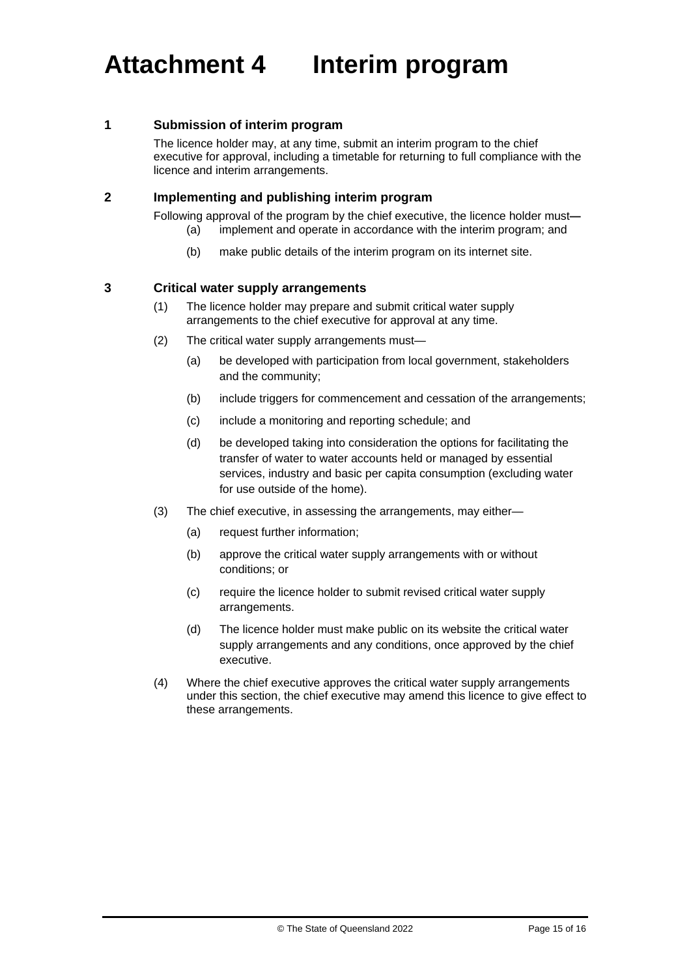#### **1 Submission of interim program**

The licence holder may, at any time, submit an interim program to the chief executive for approval, including a timetable for returning to full compliance with the licence and interim arrangements.

#### **2 Implementing and publishing interim program**

Following approval of the program by the chief executive, the licence holder must**—**

- (a) implement and operate in accordance with the interim program; and
	- (b) make public details of the interim program on its internet site.

#### **3 Critical water supply arrangements**

- (1) The licence holder may prepare and submit critical water supply arrangements to the chief executive for approval at any time.
- (2) The critical water supply arrangements must—
	- (a) be developed with participation from local government, stakeholders and the community;
	- (b) include triggers for commencement and cessation of the arrangements;
	- (c) include a monitoring and reporting schedule; and
	- (d) be developed taking into consideration the options for facilitating the transfer of water to water accounts held or managed by essential services, industry and basic per capita consumption (excluding water for use outside of the home).
- (3) The chief executive, in assessing the arrangements, may either—
	- (a) request further information;
	- (b) approve the critical water supply arrangements with or without conditions; or
	- (c) require the licence holder to submit revised critical water supply arrangements.
	- (d) The licence holder must make public on its website the critical water supply arrangements and any conditions, once approved by the chief executive.
- (4) Where the chief executive approves the critical water supply arrangements under this section, the chief executive may amend this licence to give effect to these arrangements.